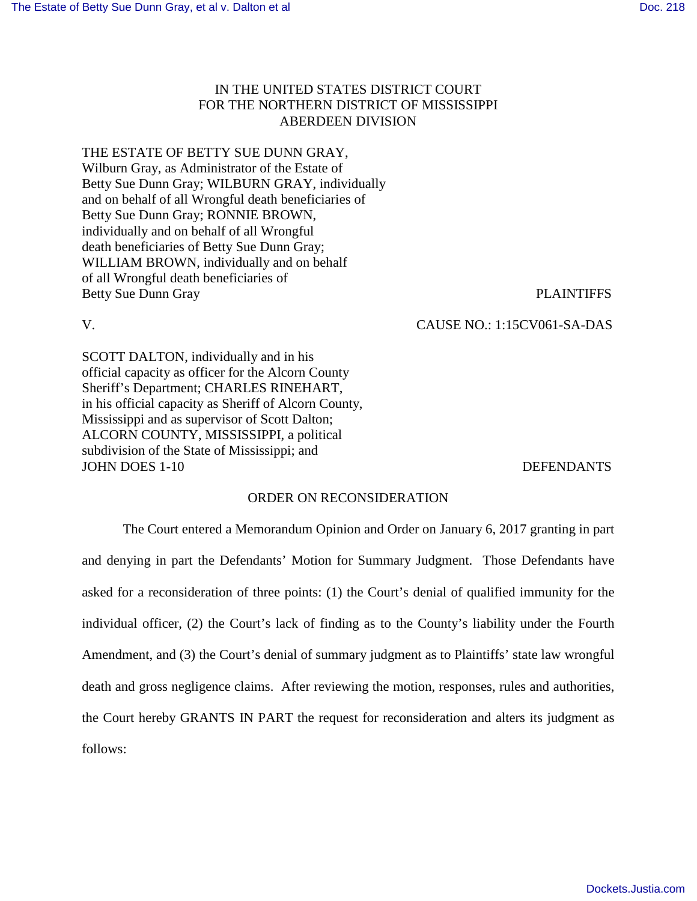## IN THE UNITED STATES DISTRICT COURT FOR THE NORTHERN DISTRICT OF MISSISSIPPI ABERDEEN DIVISION

# THE ESTATE OF BETTY SUE DUNN GRAY,

Wilburn Gray, as Administrator of the Estate of Betty Sue Dunn Gray; WILBURN GRAY, individually and on behalf of all Wrongful death beneficiaries of Betty Sue Dunn Gray; RONNIE BROWN, individually and on behalf of all Wrongful death beneficiaries of Betty Sue Dunn Gray; WILLIAM BROWN, individually and on behalf of all Wrongful death beneficiaries of Betty Sue Dunn Gray PLAINTIFFS

V. CAUSE NO.: 1:15CV061-SA-DAS

SCOTT DALTON, individually and in his official capacity as officer for the Alcorn County Sheriff's Department; CHARLES RINEHART, in his official capacity as Sheriff of Alcorn County, Mississippi and as supervisor of Scott Dalton; ALCORN COUNTY, MISSISSIPPI, a political subdivision of the State of Mississippi; and JOHN DOES 1-10 DEFENDANTS

### ORDER ON RECONSIDERATION

 The Court entered a Memorandum Opinion and Order on January 6, 2017 granting in part and denying in part the Defendants' Motion for Summary Judgment. Those Defendants have asked for a reconsideration of three points: (1) the Court's denial of qualified immunity for the individual officer, (2) the Court's lack of finding as to the County's liability under the Fourth Amendment, and (3) the Court's denial of summary judgment as to Plaintiffs' state law wrongful death and gross negligence claims. After reviewing the motion, responses, rules and authorities, the Court hereby GRANTS IN PART the request for reconsideration and alters its judgment as follows: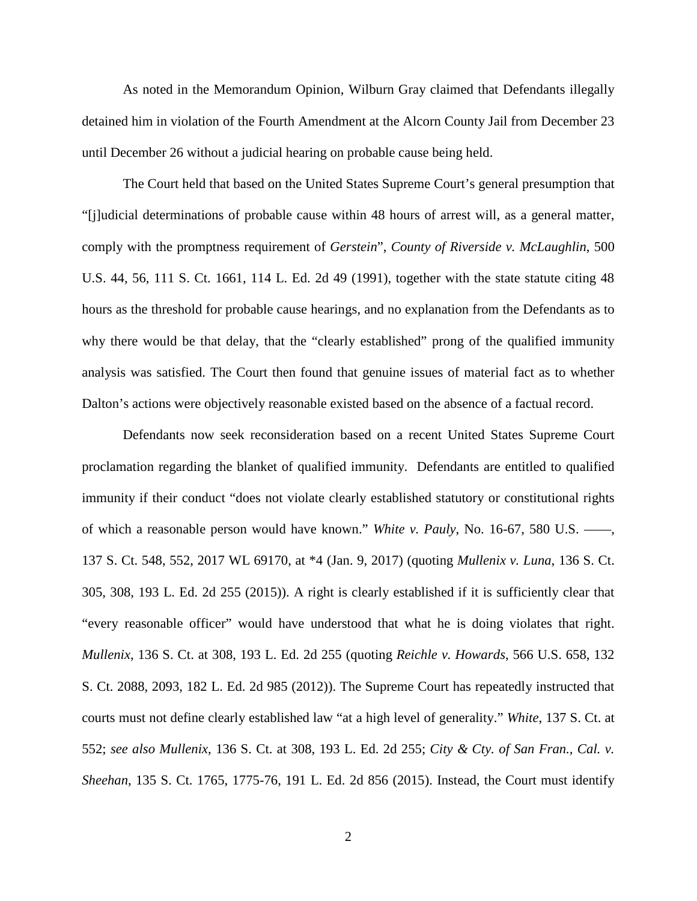As noted in the Memorandum Opinion, Wilburn Gray claimed that Defendants illegally detained him in violation of the Fourth Amendment at the Alcorn County Jail from December 23 until December 26 without a judicial hearing on probable cause being held.

 The Court held that based on the United States Supreme Court's general presumption that "[j]udicial determinations of probable cause within 48 hours of arrest will, as a general matter, comply with the promptness requirement of *Gerstein*", *County of Riverside v. McLaughlin*, 500 U.S. 44, 56, 111 S. Ct. 1661, 114 L. Ed. 2d 49 (1991), together with the state statute citing 48 hours as the threshold for probable cause hearings, and no explanation from the Defendants as to why there would be that delay, that the "clearly established" prong of the qualified immunity analysis was satisfied. The Court then found that genuine issues of material fact as to whether Dalton's actions were objectively reasonable existed based on the absence of a factual record.

Defendants now seek reconsideration based on a recent United States Supreme Court proclamation regarding the blanket of qualified immunity. Defendants are entitled to qualified immunity if their conduct "does not violate clearly established statutory or constitutional rights of which a reasonable person would have known." *White v. Pauly*, No. 16-67, 580 U.S. ––––, 137 S. Ct. 548, 552, 2017 WL 69170, at \*4 (Jan. 9, 2017) (quoting *Mullenix v. Luna*, 136 S. Ct. 305, 308, 193 L. Ed. 2d 255 (2015)). A right is clearly established if it is sufficiently clear that "every reasonable officer" would have understood that what he is doing violates that right. *Mullenix*, 136 S. Ct. at 308, 193 L. Ed. 2d 255 (quoting *Reichle v. Howards*, 566 U.S. 658, 132 S. Ct. 2088, 2093, 182 L. Ed. 2d 985 (2012)). The Supreme Court has repeatedly instructed that courts must not define clearly established law "at a high level of generality." *White*, 137 S. Ct. at 552; *see also Mullenix*, 136 S. Ct. at 308, 193 L. Ed. 2d 255; *City & Cty. of San Fran., Cal. v. Sheehan*, 135 S. Ct. 1765, 1775-76, 191 L. Ed. 2d 856 (2015). Instead, the Court must identify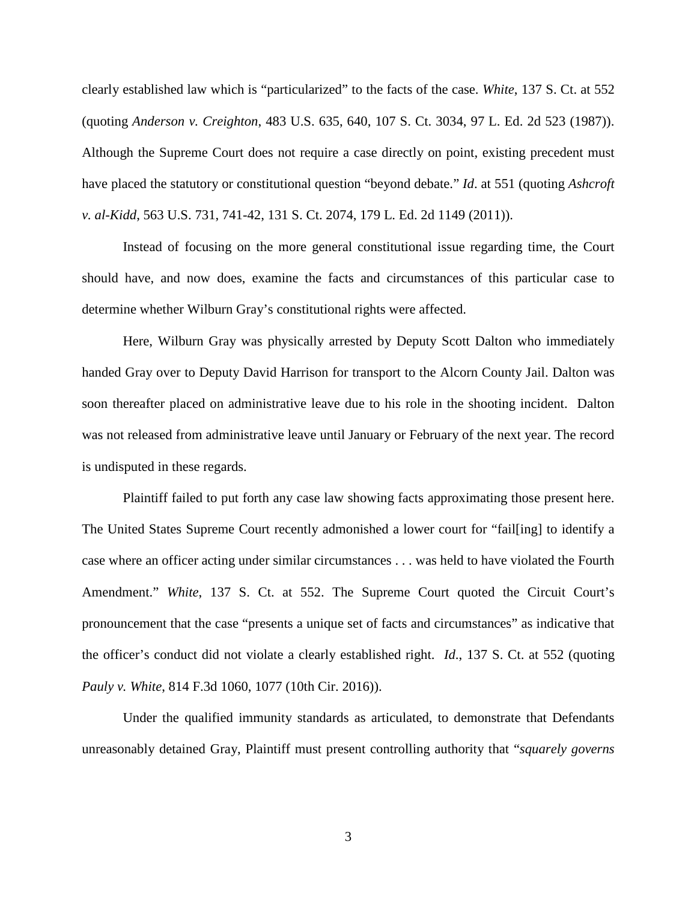clearly established law which is "particularized" to the facts of the case. *White*, 137 S. Ct. at 552 (quoting *Anderson v. Creighton*, 483 U.S. 635, 640, 107 S. Ct. 3034, 97 L. Ed. 2d 523 (1987)). Although the Supreme Court does not require a case directly on point, existing precedent must have placed the statutory or constitutional question "beyond debate." *Id*. at 551 (quoting *Ashcroft v. al-Kidd*, 563 U.S. 731, 741-42, 131 S. Ct. 2074, 179 L. Ed. 2d 1149 (2011)).

Instead of focusing on the more general constitutional issue regarding time, the Court should have, and now does, examine the facts and circumstances of this particular case to determine whether Wilburn Gray's constitutional rights were affected.

Here, Wilburn Gray was physically arrested by Deputy Scott Dalton who immediately handed Gray over to Deputy David Harrison for transport to the Alcorn County Jail. Dalton was soon thereafter placed on administrative leave due to his role in the shooting incident. Dalton was not released from administrative leave until January or February of the next year. The record is undisputed in these regards.

Plaintiff failed to put forth any case law showing facts approximating those present here. The United States Supreme Court recently admonished a lower court for "fail[ing] to identify a case where an officer acting under similar circumstances . . . was held to have violated the Fourth Amendment." *White*, 137 S. Ct. at 552. The Supreme Court quoted the Circuit Court's pronouncement that the case "presents a unique set of facts and circumstances" as indicative that the officer's conduct did not violate a clearly established right. *Id*., 137 S. Ct. at 552 (quoting *Pauly v. White*, 814 F.3d 1060, 1077 (10th Cir. 2016)).

Under the qualified immunity standards as articulated, to demonstrate that Defendants unreasonably detained Gray, Plaintiff must present controlling authority that "*squarely governs*

3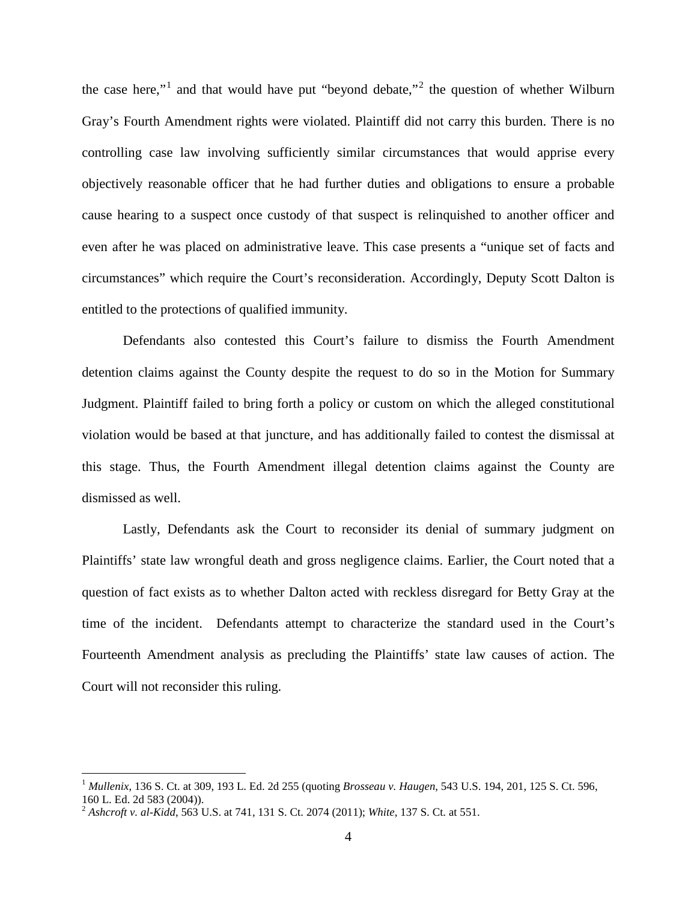the case here,"<sup>[1](#page-3-0)</sup> and that would have put "beyond debate,"<sup>[2](#page-3-1)</sup> the question of whether Wilburn Gray's Fourth Amendment rights were violated. Plaintiff did not carry this burden. There is no controlling case law involving sufficiently similar circumstances that would apprise every objectively reasonable officer that he had further duties and obligations to ensure a probable cause hearing to a suspect once custody of that suspect is relinquished to another officer and even after he was placed on administrative leave. This case presents a "unique set of facts and circumstances" which require the Court's reconsideration. Accordingly, Deputy Scott Dalton is entitled to the protections of qualified immunity.

Defendants also contested this Court's failure to dismiss the Fourth Amendment detention claims against the County despite the request to do so in the Motion for Summary Judgment. Plaintiff failed to bring forth a policy or custom on which the alleged constitutional violation would be based at that juncture, and has additionally failed to contest the dismissal at this stage. Thus, the Fourth Amendment illegal detention claims against the County are dismissed as well.

Lastly, Defendants ask the Court to reconsider its denial of summary judgment on Plaintiffs' state law wrongful death and gross negligence claims. Earlier, the Court noted that a question of fact exists as to whether Dalton acted with reckless disregard for Betty Gray at the time of the incident. Defendants attempt to characterize the standard used in the Court's Fourteenth Amendment analysis as precluding the Plaintiffs' state law causes of action. The Court will not reconsider this ruling.

<u>.</u>

<span id="page-3-0"></span><sup>1</sup> *Mullenix*, 136 S. Ct. at 309, 193 L. Ed. 2d 255 (quoting *Brosseau v. Haugen*, 543 U.S. 194, 201, 125 S. Ct. 596, 160 L. Ed. 2d 583 (2004)).

<span id="page-3-1"></span><sup>2</sup> *Ashcroft v. al-Kidd*, 563 U.S. at 741, 131 S. Ct. 2074 (2011); *White*, 137 S. Ct. at 551.